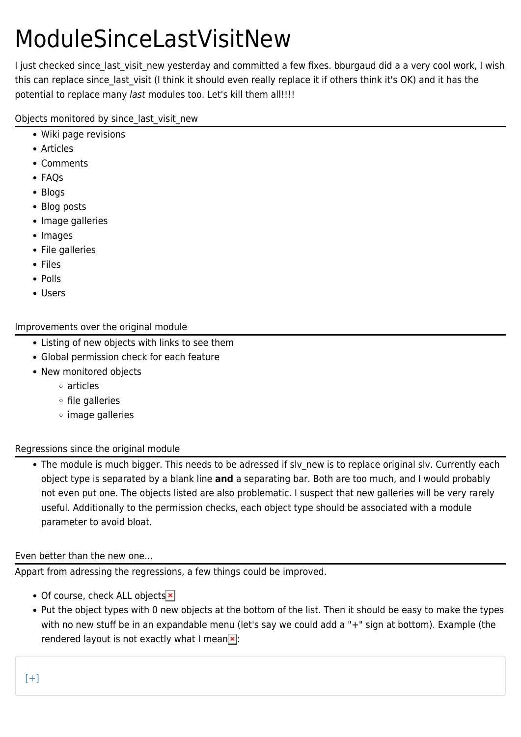# ModuleSinceLastVisitNew

I just checked since last visit new yesterday and committed a few fixes. bburgaud did a a very cool work, I wish this can replace since last visit (I think it should even really replace it if others think it's OK) and it has the potential to replace many last modules too. Let's kill them all!!!!

Objects monitored by since last visit new

- Wiki page revisions
- Articles
- Comments
- FAQs
- Blogs
- Blog posts
- Image galleries
- Images
- File galleries
- Files
- Polls
- Users

## Improvements over the original module

- Listing of new objects with links to see them
- Global permission check for each feature
- New monitored objects
	- articles
	- $\circ$  file galleries
	- image galleries

## Regressions since the original module

• The module is much bigger. This needs to be adressed if sly new is to replace original slv. Currently each object type is separated by a blank line **and** a separating bar. Both are too much, and I would probably not even put one. The objects listed are also problematic. I suspect that new galleries will be very rarely useful. Additionally to the permission checks, each object type should be associated with a module parameter to avoid bloat.

# Even better than the new one...

Appart from adressing the regressions, a few things could be improved.

- Of course, check ALL objects<sup>x</sup>
- Put the object types with 0 new objects at the bottom of the list. Then it should be easy to make the types with no new stuff be in an expandable menu (let's say we could add a "+" sign at bottom). Example (the rendered layout is not exactly what I mean  $\ge$ :